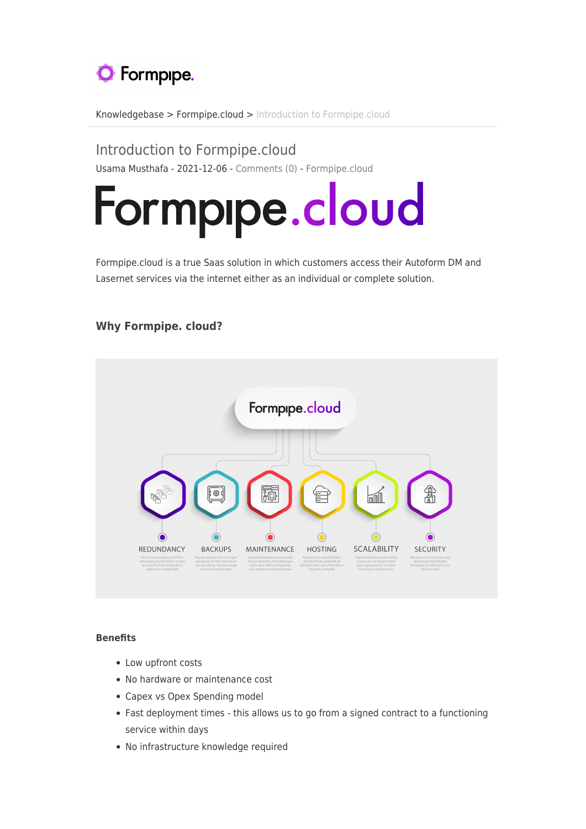

[Knowledgebase](https://support.formpipe.com/kb) > [Formpipe.cloud](https://support.formpipe.com/kb/formpipe-cloud) > [Introduction to Formpipe.cloud](https://support.formpipe.com/kb/articles/introduction-to-formpipe-cloud)

Introduction to Formpipe.cloud Usama Musthafa - 2021-12-06 - [Comments \(0\)](#page--1-0) - [Formpipe.cloud](https://support.formpipe.com/kb/formpipe-cloud)

# Formpipe.cloud

Formpipe.cloud is a true Saas solution in which customers access their Autoform DM and Lasernet services via the internet either as an individual or complete solution.

# **Why Formpipe. cloud?**



### **Benefits**

- Low upfront costs
- No hardware or maintenance cost
- Capex vs Opex Spending model
- Fast deployment times this allows us to go from a signed contract to a functioning service within days
- No infrastructure knowledge required